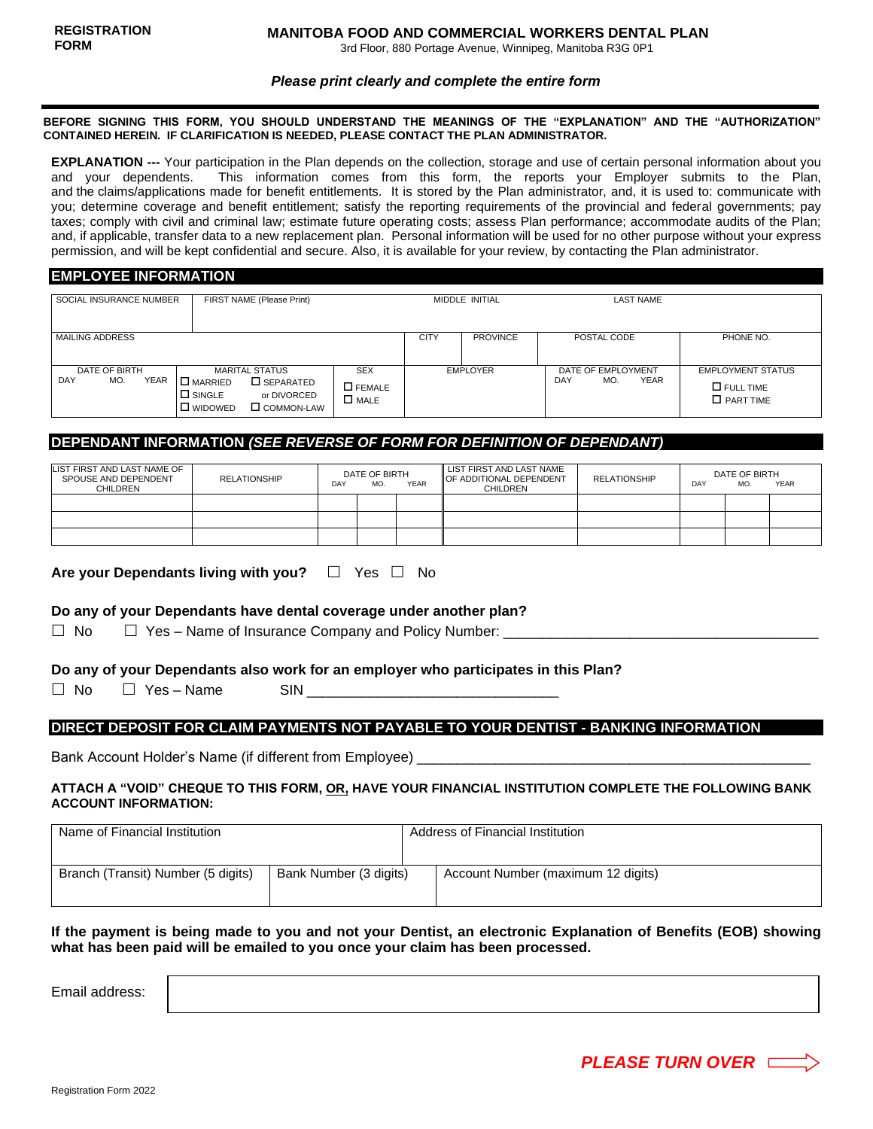3rd Floor, 880 Portage Avenue, Winnipeg, Manitoba R3G 0P1

#### *Please print clearly and complete the entire form*

#### **BEFORE SIGNING THIS FORM, YOU SHOULD UNDERSTAND THE MEANINGS OF THE "EXPLANATION" AND THE "AUTHORIZATION" CONTAINED HEREIN. IF CLARIFICATION IS NEEDED, PLEASE CONTACT THE PLAN ADMINISTRATOR.**

**EXPLANATION ---** Your participation in the Plan depends on the collection, storage and use of certain personal information about you and your dependents. This information comes from this form, the reports your Employer submits to the Plan, and the claims/applications made for benefit entitlements. It is stored by the Plan administrator, and, it is used to: communicate with you; determine coverage and benefit entitlement; satisfy the reporting requirements of the provincial and federal governments; pay taxes; comply with civil and criminal law; estimate future operating costs; assess Plan performance; accommodate audits of the Plan; and, if applicable, transfer data to a new replacement plan. Personal information will be used for no other purpose without your express permission, and will be kept confidential and secure. Also, it is available for your review, by contacting the Plan administrator.

## **EMPLOYEE INFORMATION**

| SOCIAL INSURANCE NUMBER                    | FIRST NAME (Please Print)                                                                                                                                                                 |  | MIDDLE INITIAL  |                 | <b>LAST NAME</b>                                       |                                                                     |
|--------------------------------------------|-------------------------------------------------------------------------------------------------------------------------------------------------------------------------------------------|--|-----------------|-----------------|--------------------------------------------------------|---------------------------------------------------------------------|
| <b>MAILING ADDRESS</b>                     |                                                                                                                                                                                           |  | <b>CITY</b>     | <b>PROVINCE</b> | POSTAL CODE                                            | PHONE NO.                                                           |
| DATE OF BIRTH<br><b>YEAR</b><br>DAY<br>MO. | <b>MARITAL STATUS</b><br><b>SEX</b><br>I □ MARRIED<br>$\square$ SEPARATED<br>$\square$ FEMALE<br>$\Box$ SINGLE<br>or DIVORCED<br>$\square$ MALE<br>$\square$ WIDOWED<br>$\Box$ COMMON-LAW |  | <b>EMPLOYER</b> |                 | DATE OF EMPLOYMENT<br><b>YEAR</b><br><b>DAY</b><br>MO. | <b>EMPLOYMENT STATUS</b><br>$\square$ FULL TIME<br>$\Box$ PART TIME |

# **DEPENDANT INFORMATION** *(SEE REVERSE OF FORM FOR DEFINITION OF DEPENDANT)*

| LIST FIRST AND LAST NAME OF<br>SPOUSE AND DEPENDENT<br>CHILDREN | <b>RELATIONSHIP</b> | DATE OF BIRTH<br><b>YEAR</b><br>MO.<br>DAY |  | LIST FIRST AND LAST NAME<br><b>OF ADDITIONAL DEPENDENT</b><br><b>CHILDREN</b> | <b>RELATIONSHIP</b> | DATE OF BIRTH<br><b>YEAR</b><br>DAY<br><b>MO</b> |  |  |
|-----------------------------------------------------------------|---------------------|--------------------------------------------|--|-------------------------------------------------------------------------------|---------------------|--------------------------------------------------|--|--|
|                                                                 |                     |                                            |  |                                                                               |                     |                                                  |  |  |
|                                                                 |                     |                                            |  |                                                                               |                     |                                                  |  |  |
|                                                                 |                     |                                            |  |                                                                               |                     |                                                  |  |  |

|  |  | Are your Dependants living with you? $\Box$ Yes $\Box$ No |  |  |  |  |  |  |  |
|--|--|-----------------------------------------------------------|--|--|--|--|--|--|--|
|--|--|-----------------------------------------------------------|--|--|--|--|--|--|--|

### **Do any of your Dependants have dental coverage under another plan?**

 $\Box$  No  $\Box$  Yes – Name of Insurance Company and Policy Number:

#### **Do any of your Dependants also work for an employer who participates in this Plan?**

 $\Box$  No  $\Box$  Yes – Name SIN

#### **DIRECT DEPOSIT FOR CLAIM PAYMENTS NOT PAYABLE TO YOUR DENTIST - BANKING INFORMATION**

Bank Account Holder's Name (if different from Employee) \_\_\_\_\_\_\_\_\_\_\_\_\_\_\_\_\_\_\_\_\_\_\_\_

#### **ATTACH A "VOID" CHEQUE TO THIS FORM, OR, HAVE YOUR FINANCIAL INSTITUTION COMPLETE THE FOLLOWING BANK ACCOUNT INFORMATION:**

| Name of Financial Institution      |                        | Address of Financial Institution   |  |  |  |
|------------------------------------|------------------------|------------------------------------|--|--|--|
| Branch (Transit) Number (5 digits) | Bank Number (3 digits) | Account Number (maximum 12 digits) |  |  |  |

### **If the payment is being made to you and not your Dentist, an electronic Explanation of Benefits (EOB) showing what has been paid will be emailed to you once your claim has been processed.**

Email address: